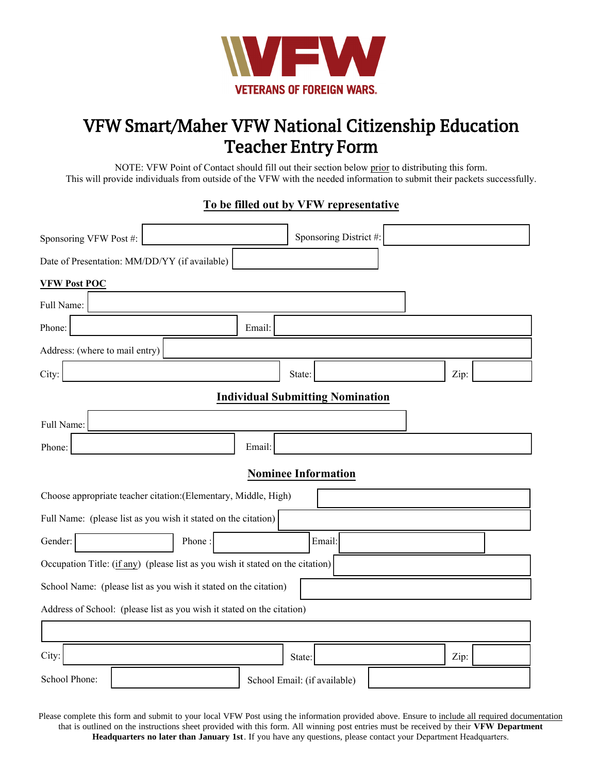

# VFW Smart/Maher VFW National Citizenship Education Teacher Entry Form

NOTE: VFW Point of Contact should fill out their section below prior to distributing this form. This will provide individuals from outside of the VFW with the needed information to submit their packets successfully.

#### **To be filled out by VFW representative**

| Sponsoring VFW Post #:                                                         |        | Sponsoring District #: |      |
|--------------------------------------------------------------------------------|--------|------------------------|------|
| Date of Presentation: MM/DD/YY (if available)                                  |        |                        |      |
| <b>VFW Post POC</b>                                                            |        |                        |      |
| Full Name:                                                                     |        |                        |      |
| Phone:                                                                         | Email: |                        |      |
| Address: (where to mail entry)                                                 |        |                        |      |
| City:                                                                          |        | State:                 | Zip: |
| <b>Individual Submitting Nomination</b>                                        |        |                        |      |
| Full Name:                                                                     |        |                        |      |
| Phone:                                                                         | Email: |                        |      |
| <b>Nominee Information</b>                                                     |        |                        |      |
| Choose appropriate teacher citation: (Elementary, Middle, High)                |        |                        |      |
| Full Name: (please list as you wish it stated on the citation)                 |        |                        |      |
| Gender:                                                                        | Phone: | Email:                 |      |
| Occupation Title: (if any) (please list as you wish it stated on the citation) |        |                        |      |
| School Name: (please list as you wish it stated on the citation)               |        |                        |      |
| Address of School: (please list as you wish it stated on the citation)         |        |                        |      |
|                                                                                |        |                        |      |
| City:                                                                          |        | State:                 | Zip: |
| School Phone:<br>School Email: (if available)                                  |        |                        |      |

Please complete this form and submit to your local VFW Post using the information provided above. Ensure to include all required documentation that is outlined on the instructions sheet provided with this form. All winning post entries must be received by their **VFW Department Headquarters no later than January 1st**. If you have any questions, please contact your Department Headquarters.